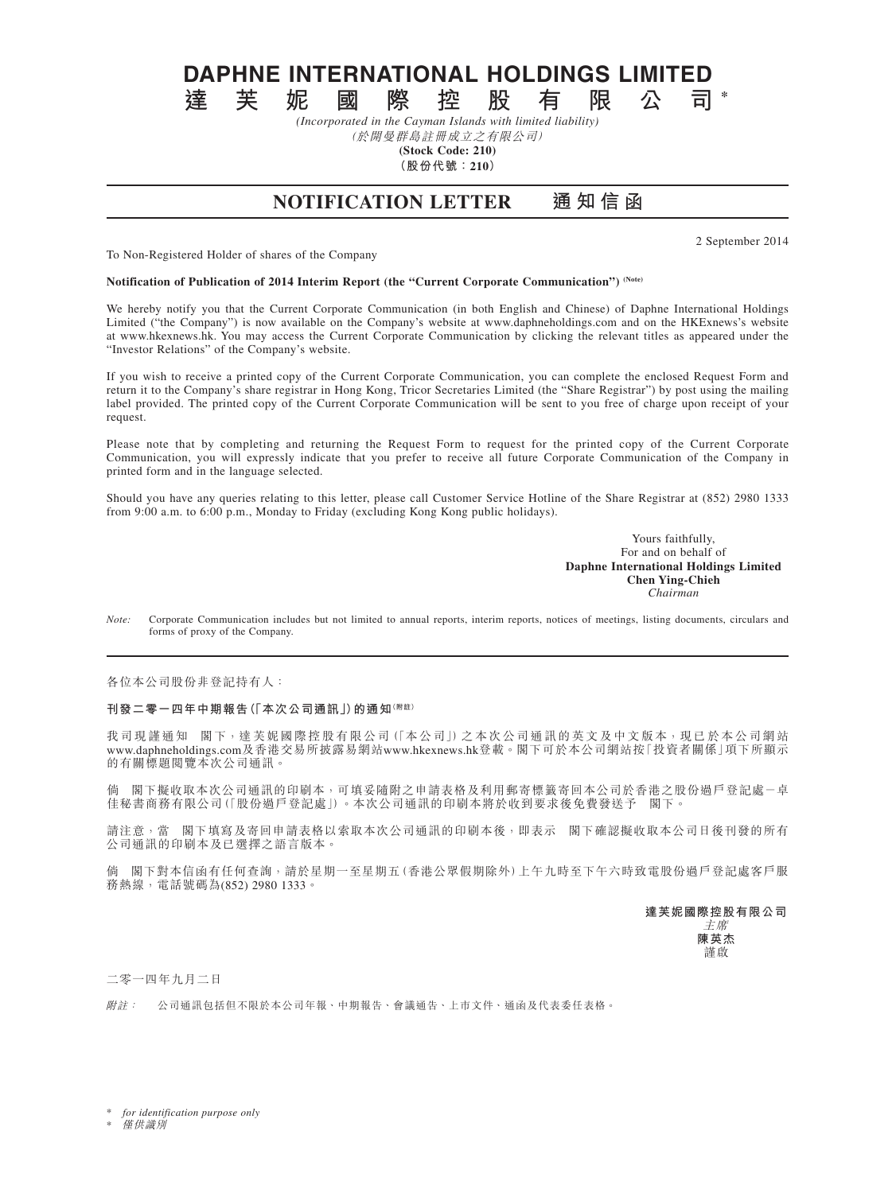**DAPHNE INTERNATIONAL HOLDINGS LIMITED**<br>達 芙 妮 國 際 控 股 有 限 公 司

**達芙妮國際控股有限公司 \*** *(Incorporated in the Cayman Islands with limited liability)*

(於開曼群島註冊成立之有限公司) **(Stock Code: 210)**

**(股份代號:210)**

**NOTIFICATION LETTER 通 知 信 函**

2 September 2014

To Non-Registered Holder of shares of the Company

**Notification of Publication of 2014 Interim Report (the "Current Corporate Communication") (Note)**

We hereby notify you that the Current Corporate Communication (in both English and Chinese) of Daphne International Holdings Limited ("the Company") is now available on the Company's website at www.daphneholdings.com and on the HKExnews's website at www.hkexnews.hk. You may access the Current Corporate Communication by clicking the relevant titles as appeared under the "Investor Relations" of the Company's website.

If you wish to receive a printed copy of the Current Corporate Communication, you can complete the enclosed Request Form and return it to the Company's share registrar in Hong Kong, Tricor Secretaries Limited (the "Share Registrar") by post using the mailing label provided. The printed copy of the Current Corporate Communication will be sent to you free of charge upon receipt of your request.

Please note that by completing and returning the Request Form to request for the printed copy of the Current Corporate Communication, you will expressly indicate that you prefer to receive all future Corporate Communication of the Company in printed form and in the language selected.

Should you have any queries relating to this letter, please call Customer Service Hotline of the Share Registrar at (852) 2980 1333 from 9:00 a.m. to 6:00 p.m., Monday to Friday (excluding Kong Kong public holidays).

> Yours faithfully, For and on behalf of **Daphne International Holdings Limited Chen Ying-Chieh** *Chairman*

*Note:* Corporate Communication includes but not limited to annual reports, interim reports, notices of meetings, listing documents, circulars and forms of proxy of the Company.

各位本公司股份非登記持有人:

**刊發二零一四年中期報告(「本次公司通訊」)的通知(附註)**

我司現謹通知 閣下,達芙妮國際控股有限公司(「本公司」)之本次公司通訊的英文及中文版本,現已於本公司網站 www.daphneholdings.com及香港交易所披露易網站www.hkexnews.hk登載。閣下可於本公司網站按「投資者關係」項下所顯示 的有關標題閱覽本次公司通訊。

倘 閣下擬收取本次公司通訊的印刷本,可填妥隨附之申請表格及利用郵寄標籤寄回本公司於香港之股份過戶登記處-卓 佳秘書商務有限公司(「股份過戶登記處」)。本次公司通訊的印刷本將於收到要求後免費發送予 閣下。

請注意,當 閣下填寫及寄回申請表格以索取本次公司通訊的印刷本後,即表示 閣下確認擬收取本公司日後刊發的所有 公司通訊的印刷本及已選擇之語言版本。

倘 閣下對本信函有任何查詢,請於星期一至星期五(香港公眾假期除外)上午九時至下午六時致電股份過戶登記處客戶服 務熱線,電話號碼為(852) 2980 1333。

**達芙妮國際控股有限公司**

主席 **陳英杰** 謹啟

二零一四年九月二日

附註: 公司通訊包括但不限於本公司年報、中期報告、會議通告、上市文件、通函及代表委任表格。

for *identification purpose only* 

**僅供識別**